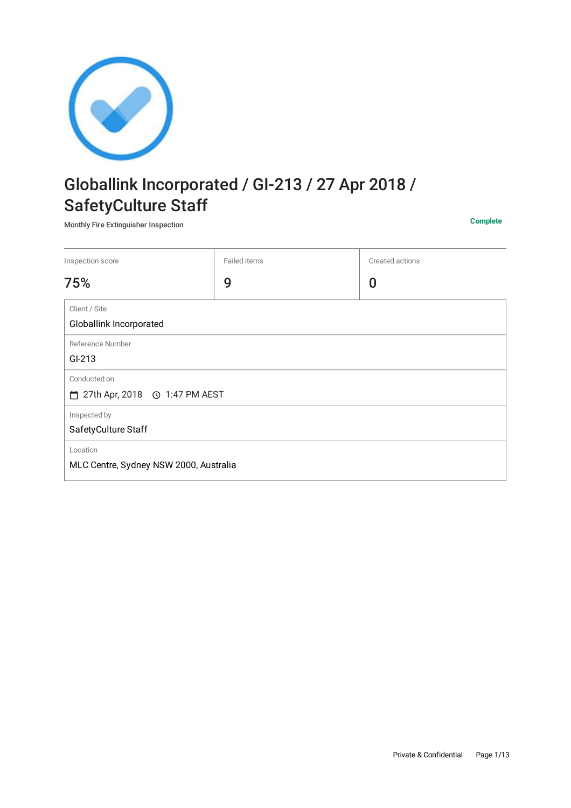

# Globallink Incorporated / GI-213 / 27 Apr 2018 / SafetyCulture Staff

Monthly Fire Extinguisher Inspection **Complete**

| Inspection score                                   | Failed items | Created actions |
|----------------------------------------------------|--------------|-----------------|
| 75%                                                | 9            | 0               |
| Client / Site<br>Globallink Incorporated           |              |                 |
| Reference Number<br>GI-213                         |              |                 |
| Conducted on<br>□ 27th Apr, 2018 ⊙ 1:47 PM AEST    |              |                 |
| Inspected by<br>SafetyCulture Staff                |              |                 |
| Location<br>MLC Centre, Sydney NSW 2000, Australia |              |                 |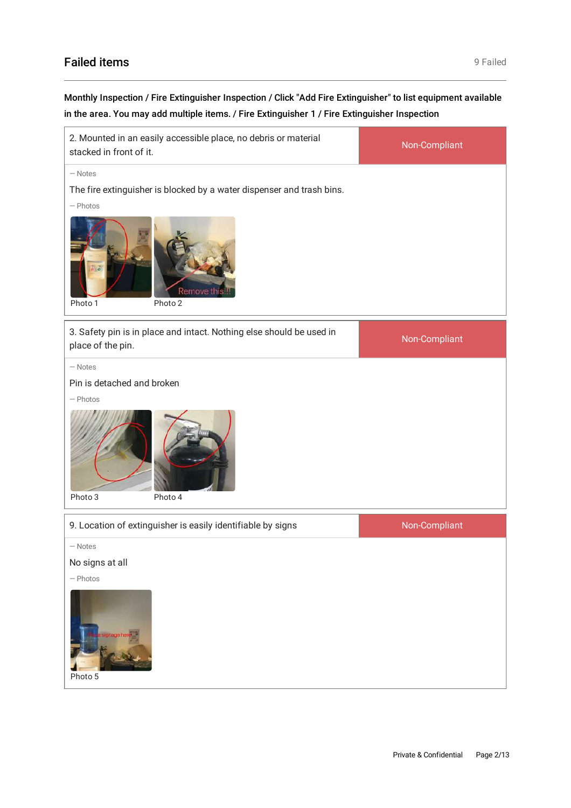## Failed items **9 Failed** items **19 Failed 12 Failed 9 Failed**

## Monthly Inspection / Fire Extinguisher Inspection / Click "Add Fire Extinguisher" to list equipment available in the area. You may add multiple items. / Fire Extinguisher 1 / Fire Extinguisher Inspection

| 2. Mounted in an easily accessible place, no debris or material<br>stacked in front of it.                                                   | Non-Compliant |
|----------------------------------------------------------------------------------------------------------------------------------------------|---------------|
| $-$ Notes<br>The fire extinguisher is blocked by a water dispenser and trash bins.<br>$-$ Photos<br><b>Remove this</b><br>Photo 2<br>Photo 1 |               |
| 3. Safety pin is in place and intact. Nothing else should be used in<br>place of the pin.                                                    | Non-Compliant |
| $-$ Notes<br>Pin is detached and broken<br>$-$ Photos<br>Photo 3<br>Photo 4                                                                  |               |
| 9. Location of extinguisher is easily identifiable by signs                                                                                  | Non-Compliant |
| $-$ Notes<br>No signs at all<br>$-$ Photos<br>tage her<br>Photo 5                                                                            |               |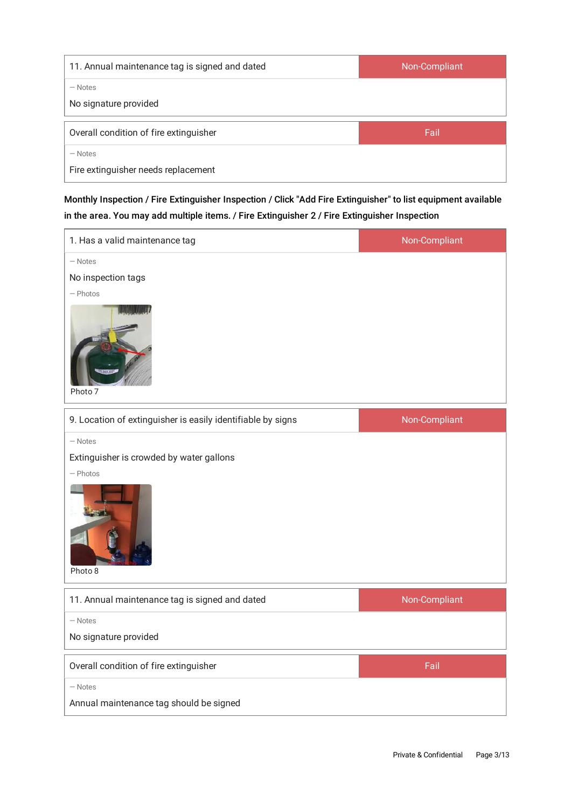| 11. Annual maintenance tag is signed and dated | Non-Compliant |
|------------------------------------------------|---------------|
| – Notes                                        |               |
| No signature provided                          |               |
| Overall condition of fire extinguisher         | Fail          |
| – Notes                                        |               |
| Fire extinguisher needs replacement            |               |

Monthly Inspection / Fire Extinguisher Inspection / Click "Add Fire Extinguisher" to list equipment available in the area. You may add multiple items. / Fire Extinguisher 2 / Fire Extinguisher Inspection

| 1. Has a valid maintenance tag                                                 | Non-Compliant |
|--------------------------------------------------------------------------------|---------------|
| $-$ Notes<br>No inspection tags<br>$-$ Photos<br>Photo 7                       |               |
| 9. Location of extinguisher is easily identifiable by signs                    | Non-Compliant |
| $-$ Notes<br>Extinguisher is crowded by water gallons<br>$-$ Photos<br>Photo 8 |               |
| 11. Annual maintenance tag is signed and dated                                 | Non-Compliant |
| - Notes<br>No signature provided                                               |               |
| Overall condition of fire extinguisher                                         | Fail          |
| $-$ Notes<br>Annual maintenance tag should be signed                           |               |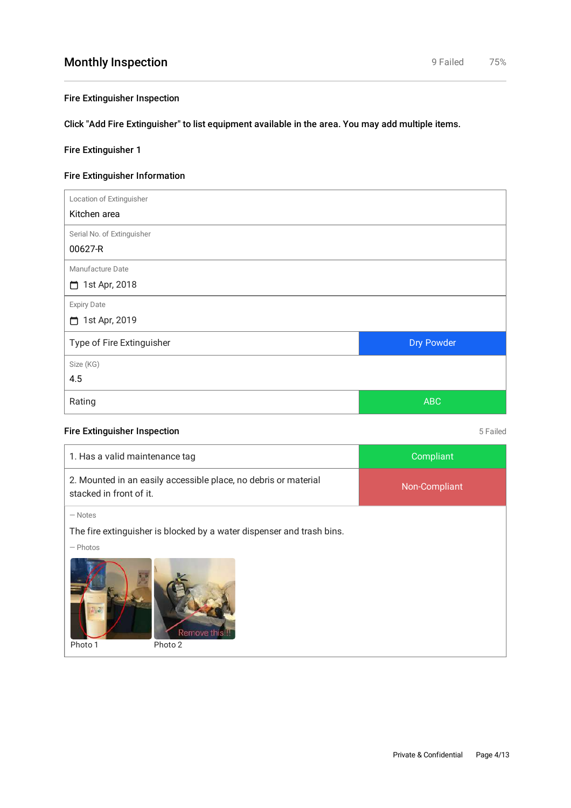#### Fire Extinguisher Inspection

Click "Add Fire Extinguisher" to list equipment available in the area. You may add multiple items.

#### Fire Extinguisher 1

### Fire Extinguisher Information

| Location of Extinguisher   |            |
|----------------------------|------------|
| Kitchen area               |            |
| Serial No. of Extinguisher |            |
| 00627-R                    |            |
| Manufacture Date           |            |
| 1st Apr, 2018              |            |
| <b>Expiry Date</b>         |            |
| 1st Apr, 2019              |            |
| Type of Fire Extinguisher  | Dry Powder |
| Size (KG)                  |            |
| 4.5                        |            |
| Rating                     | <b>ABC</b> |

#### Fire Extinguisher Inspection 6 Failed

| Compliant                                                             |  |  |
|-----------------------------------------------------------------------|--|--|
| Non-Compliant                                                         |  |  |
|                                                                       |  |  |
| The fire extinguisher is blocked by a water dispenser and trash bins. |  |  |
| $-$ Photos                                                            |  |  |
| Remove th                                                             |  |  |
|                                                                       |  |  |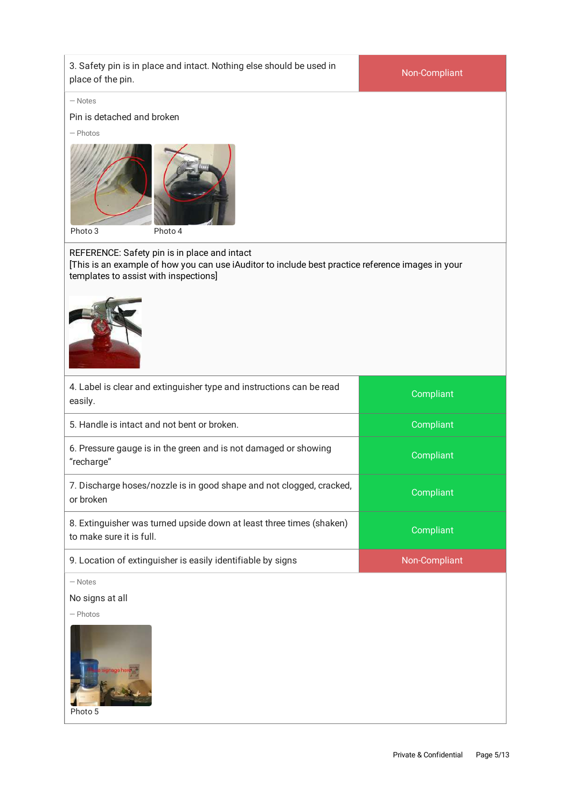| 3. Safety pin is in place and intact. Nothing else should be used in<br>place of the pin.                                                                                                  | Non-Compliant |  |
|--------------------------------------------------------------------------------------------------------------------------------------------------------------------------------------------|---------------|--|
| $-$ Notes<br>Pin is detached and broken<br>$-$ Photos<br>Photo 3<br>Photo 4                                                                                                                |               |  |
| REFERENCE: Safety pin is in place and intact<br>[This is an example of how you can use iAuditor to include best practice reference images in your<br>templates to assist with inspections] |               |  |
| 4. Label is clear and extinguisher type and instructions can be read<br>easily.                                                                                                            | Compliant     |  |
| 5. Handle is intact and not bent or broken.                                                                                                                                                | Compliant     |  |
| 6. Pressure gauge is in the green and is not damaged or showing<br>"recharge"                                                                                                              | Compliant     |  |
| 7. Discharge hoses/nozzle is in good shape and not clogged, cracked,<br>or broken                                                                                                          | Compliant     |  |
| 8. Extinguisher was turned upside down at least three times (shaken)<br>to make sure it is full.                                                                                           | Compliant     |  |
| 9. Location of extinguisher is easily identifiable by signs                                                                                                                                | Non-Compliant |  |
| $-$ Notes<br>No signs at all<br>$-$ Photos<br>Photo 5                                                                                                                                      |               |  |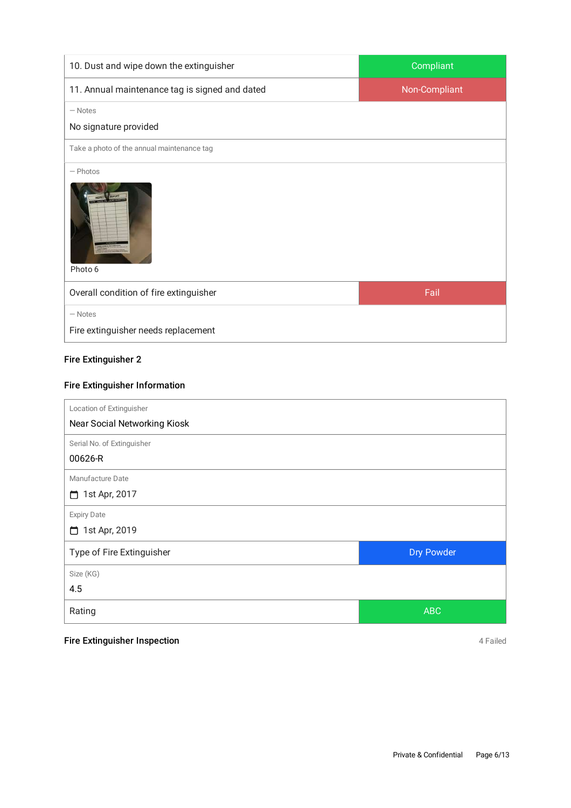| 10. Dust and wipe down the extinguisher          | Compliant     |
|--------------------------------------------------|---------------|
| 11. Annual maintenance tag is signed and dated   | Non-Compliant |
| $-$ Notes                                        |               |
| No signature provided                            |               |
| Take a photo of the annual maintenance tag       |               |
| $-$ Photos<br><b>NEPORT</b><br>Photo 6           |               |
| Overall condition of fire extinguisher           | Fail          |
| $-$ Notes<br>Fire extinguisher needs replacement |               |

#### Fire Extinguisher 2

## Fire Extinguisher Information

| Location of Extinguisher     |            |
|------------------------------|------------|
| Near Social Networking Kiosk |            |
| Serial No. of Extinguisher   |            |
| 00626-R                      |            |
| Manufacture Date             |            |
| 1st Apr, 2017<br>⊓           |            |
| <b>Expiry Date</b>           |            |
| 1st Apr, 2019<br>m           |            |
| Type of Fire Extinguisher    | Dry Powder |
| Size (KG)                    |            |
| 4.5                          |            |
| Rating                       | <b>ABC</b> |

## Fire Extinguisher Inspection **Accord 2 Failed** 4 Failed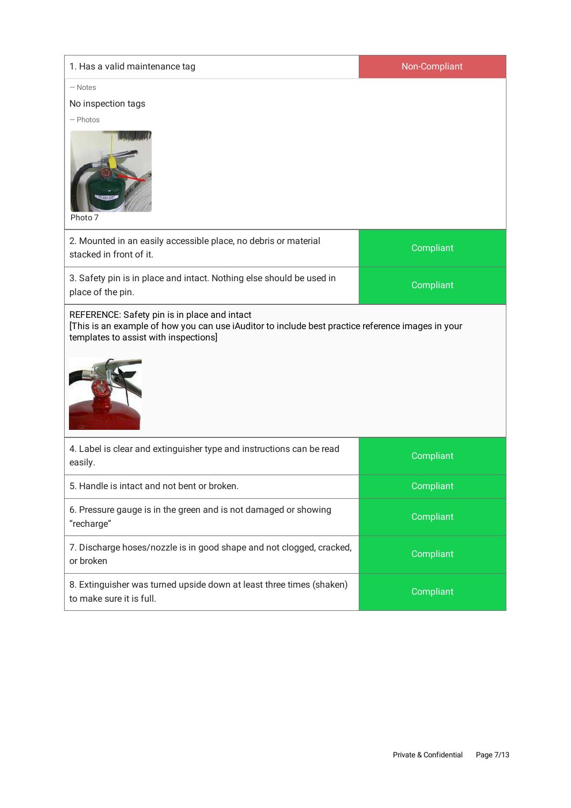| 1. Has a valid maintenance tag                                                                                                                                                             | Non-Compliant |  |
|--------------------------------------------------------------------------------------------------------------------------------------------------------------------------------------------|---------------|--|
| $-$ Notes                                                                                                                                                                                  |               |  |
| No inspection tags                                                                                                                                                                         |               |  |
| $-$ Photos<br>Photo 7                                                                                                                                                                      |               |  |
| 2. Mounted in an easily accessible place, no debris or material<br>stacked in front of it.                                                                                                 | Compliant     |  |
| 3. Safety pin is in place and intact. Nothing else should be used in<br>place of the pin.                                                                                                  | Compliant     |  |
| REFERENCE: Safety pin is in place and intact<br>[This is an example of how you can use iAuditor to include best practice reference images in your<br>templates to assist with inspections] |               |  |
| 4. Label is clear and extinguisher type and instructions can be read<br>easily.                                                                                                            | Compliant     |  |
| 5. Handle is intact and not bent or broken                                                                                                                                                 | Compliant     |  |
| 6. Pressure gauge is in the green and is not damaged or showing<br>"recharge"                                                                                                              | Compliant     |  |
| 7. Discharge hoses/nozzle is in good shape and not clogged, cracked,<br>or broken                                                                                                          | Compliant     |  |
| 8. Extinguisher was turned upside down at least three times (shaken)<br>to make sure it is full.                                                                                           | Compliant     |  |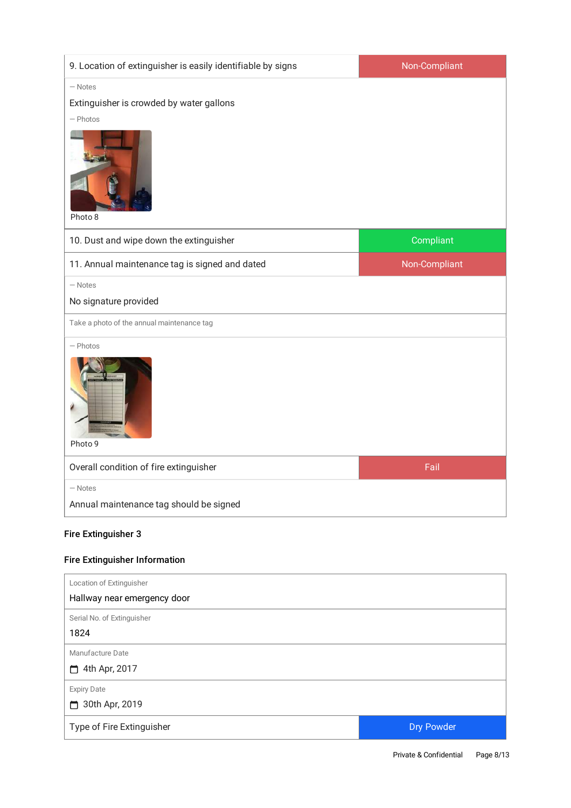| 9. Location of extinguisher is easily identifiable by signs | Non-Compliant |
|-------------------------------------------------------------|---------------|
| $-$ Notes                                                   |               |
| Extinguisher is crowded by water gallons                    |               |
| $-$ Photos<br>Photo 8                                       |               |
| 10. Dust and wipe down the extinguisher                     | Compliant     |
| 11. Annual maintenance tag is signed and dated              | Non-Compliant |
| $-$ Notes                                                   |               |
| No signature provided                                       |               |
| Take a photo of the annual maintenance tag                  |               |
| $-$ Photos<br>Photo 9                                       |               |
| Overall condition of fire extinguisher                      | Fail          |
| $-$ Notes                                                   |               |
| Annual maintenance tag should be signed                     |               |

#### Fire Extinguisher 3

## Fire Extinguisher Information

| Location of Extinguisher    |            |
|-----------------------------|------------|
| Hallway near emergency door |            |
| Serial No. of Extinguisher  |            |
| 1824                        |            |
| Manufacture Date            |            |
| 4th Apr, 2017<br>⊓          |            |
| <b>Expiry Date</b>          |            |
| 30th Apr, 2019<br>⊓         |            |
| Type of Fire Extinguisher   | Dry Powder |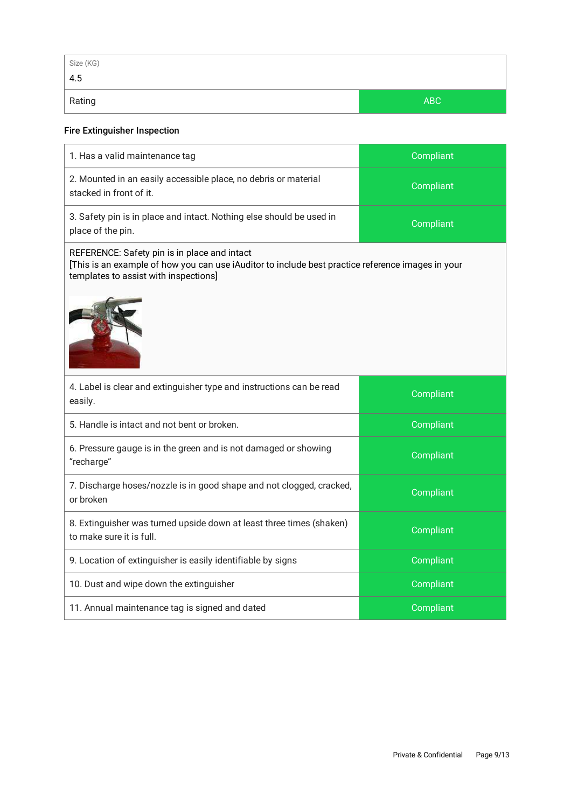| Size (KG) |     |
|-----------|-----|
| 4.5       |     |
| Rating    | ABC |

#### Fire Extinguisher Inspection

| 1. Has a valid maintenance tag                                                                                                                                                             | Compliant |  |
|--------------------------------------------------------------------------------------------------------------------------------------------------------------------------------------------|-----------|--|
| 2. Mounted in an easily accessible place, no debris or material<br>stacked in front of it.                                                                                                 | Compliant |  |
| 3. Safety pin is in place and intact. Nothing else should be used in<br>place of the pin.                                                                                                  | Compliant |  |
| REFERENCE: Safety pin is in place and intact<br>[This is an example of how you can use iAuditor to include best practice reference images in your<br>templates to assist with inspections] |           |  |
|                                                                                                                                                                                            |           |  |
| 4. Label is clear and extinguisher type and instructions can be read<br>easily.                                                                                                            | Compliant |  |
| 5. Handle is intact and not bent or broken.                                                                                                                                                | Compliant |  |
| 6. Pressure gauge is in the green and is not damaged or showing<br>"recharge"                                                                                                              | Compliant |  |
| 7. Discharge hoses/nozzle is in good shape and not clogged, cracked,<br>or broken                                                                                                          | Compliant |  |
| 8. Extinguisher was turned upside down at least three times (shaken)<br>to make sure it is full.                                                                                           | Compliant |  |
| 9. Location of extinguisher is easily identifiable by signs                                                                                                                                | Compliant |  |
| 10. Dust and wipe down the extinguisher                                                                                                                                                    | Compliant |  |
| 11. Annual maintenance tag is signed and dated                                                                                                                                             | Compliant |  |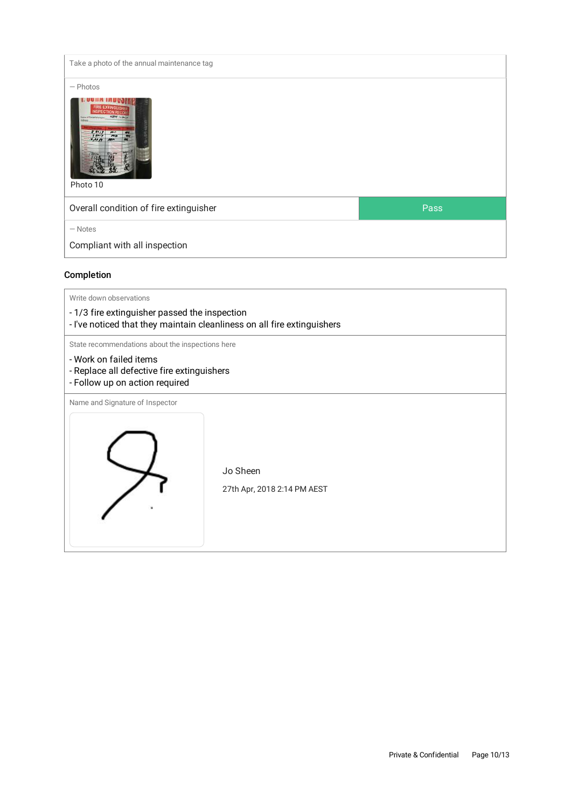| Take a photo of the annual maintenance tag                                                                                                                                         |      |
|------------------------------------------------------------------------------------------------------------------------------------------------------------------------------------|------|
| $-$ Photos                                                                                                                                                                         |      |
| <b>FIRE EXTINGUISHED</b><br>NSPECTION RECOR<br>NET LINA<br><b>Name of Catability www.rd.</b><br>$\frac{8}{9}$ day $\frac{1}{2}$<br>$\frac{m}{m}$<br>$1.1017$ MM<br>ELM<br>Photo 10 |      |
| Overall condition of fire extinguisher                                                                                                                                             | Pass |
| $-$ Notes                                                                                                                                                                          |      |
| Compliant with all inspection                                                                                                                                                      |      |

## Completion

| Write down observations                                                                                                  |  |  |  |
|--------------------------------------------------------------------------------------------------------------------------|--|--|--|
| - 1/3 fire extinguisher passed the inspection<br>- I've noticed that they maintain cleanliness on all fire extinguishers |  |  |  |
| State recommendations about the inspections here                                                                         |  |  |  |
| - Work on failed items<br>- Replace all defective fire extinguishers<br>- Follow up on action required                   |  |  |  |
| Name and Signature of Inspector<br>Jo Sheen<br>27th Apr, 2018 2:14 PM AEST                                               |  |  |  |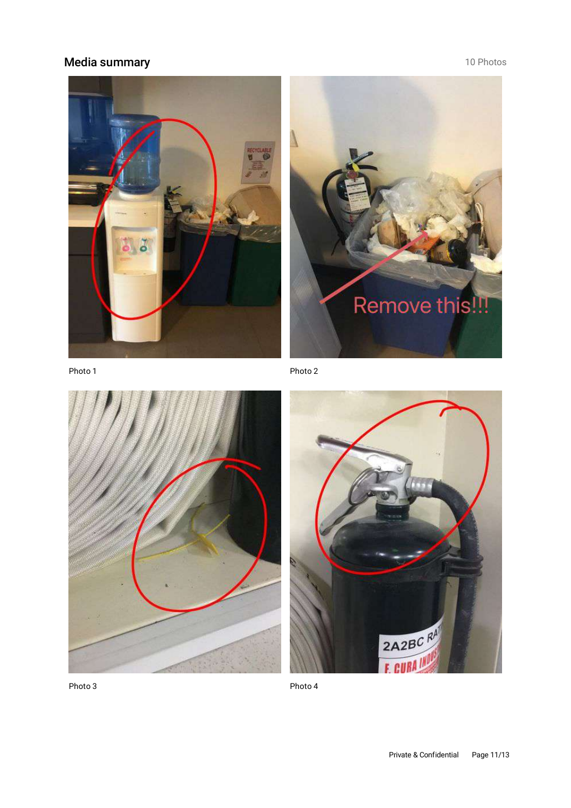## Media summary **10 Photos**





Photo 1

Photo 2





Photo 4

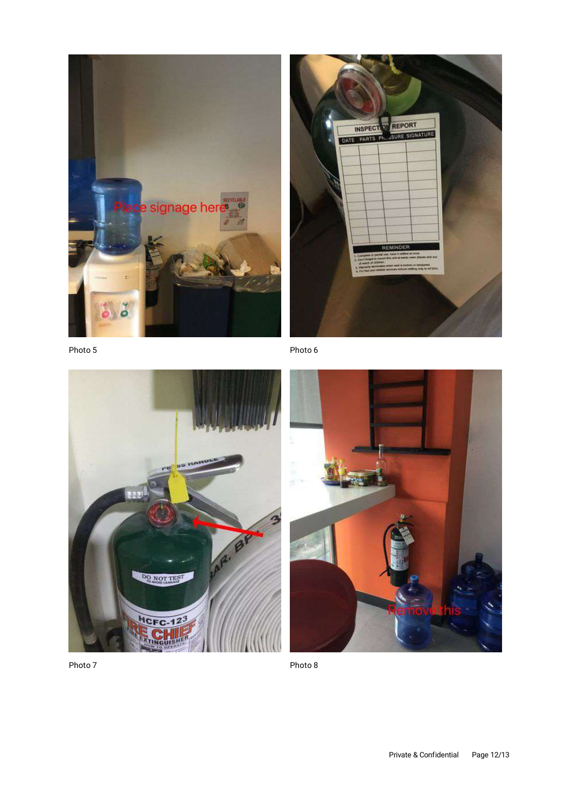



Photo 5

Photo 6





Photo 7

Photo 8